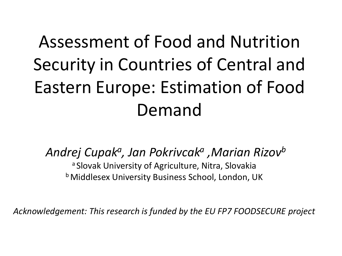#### Assessment of Food and Nutrition Security in Countries of Central and Eastern Europe: Estimation of Food Demand

*Andrej Cupak<sup>a</sup> , Jan Pokrivcak<sup>a</sup> ,Marian Rizov<sup>b</sup>*

a Slovak University of Agriculture, Nitra, Slovakia **b Middlesex University Business School, London, UK** 

*Acknowledgement: This research is funded by the EU FP7 FOODSECURE project*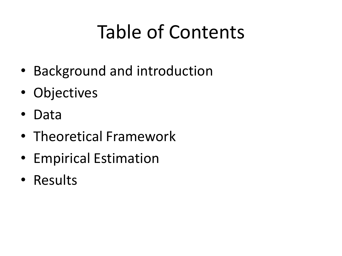# Table of Contents

- Background and introduction
- Objectives
- Data
- Theoretical Framework
- Empirical Estimation
- Results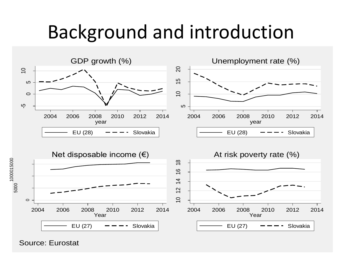#### Background and introduction



Source: Eurostat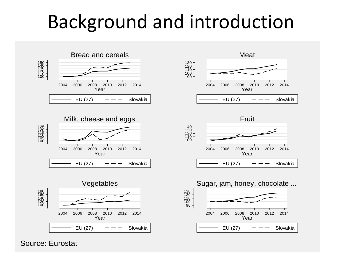#### Background and introduction



Source: Eurostat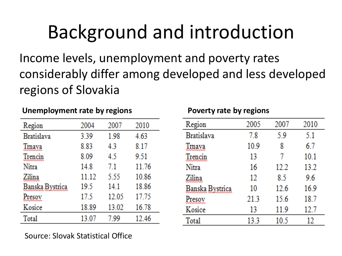# Background and introduction

Income levels, unemployment and poverty rates considerably differ among developed and less developed regions of Slovakia

#### **Unemployment rate by regions Poverty rate by regions**

| Region          | 2004  | 2007  | 2010  |
|-----------------|-------|-------|-------|
| Bratislava      | 3.39  | 1.98  | 4.63  |
| Trnava          | 8.83  | 4.3   | 8.17  |
| Trencin         | 8.09  | 4.5   | 9.51  |
| Nitra           | 14.8  | 7.1   | 11.76 |
| Zilina          | 11.12 | 5.55  | 10.86 |
| Banska Bystrica | 19.5  | 14.1  | 18.86 |
| resox           | 17.5  | 12.05 | 17.75 |
| Kosice          | 18.89 | 13.02 | 16.78 |
| Total           | 13.07 | 7.99  | 12.46 |

| Region          | 2005 | 2007 | 2010 |
|-----------------|------|------|------|
| Bratislava      | 7.8  | 5.9  | 5.1  |
| imava           | 10.9 | 8    | 6.7  |
| Trencin         | 13   | 7    | 10.1 |
| Nitra           | 16   | 12.2 | 13.2 |
| Zilina          | 12   | 8.5  | 9.6  |
| Banska Bystrica | 10   | 12.6 | 16.9 |
| Presox          | 21.3 | 15.6 | 18.7 |
| Kosice          | 13   | 11.9 | 12.7 |
| Total           | 13.3 | 10.5 | 12   |

Source: Slovak Statistical Office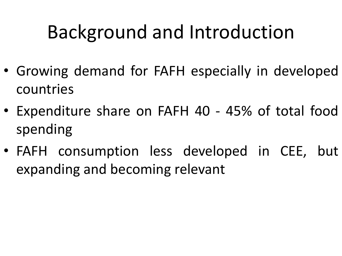# Background and Introduction

- Growing demand for FAFH especially in developed countries
- Expenditure share on FAFH 40 45% of total food spending
- FAFH consumption less developed in CEE, but expanding and becoming relevant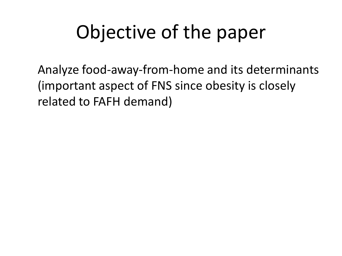# Objective of the paper

Analyze food-away-from-home and its determinants (important aspect of FNS since obesity is closely related to FAFH demand)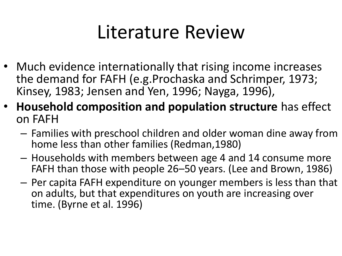#### Literature Review

- Much evidence internationally that rising income increases the demand for FAFH (e.g.Prochaska and Schrimper, 1973; Kinsey, 1983; Jensen and Yen, 1996; Nayga, 1996),
- **Household composition and population structure** has effect on FAFH
	- Families with preschool children and older woman dine away from home less than other families (Redman,1980)
	- Households with members between age 4 and 14 consume more FAFH than those with people 26–50 years. (Lee and Brown, 1986)
	- Per capita FAFH expenditure on younger members is less than that on adults, but that expenditures on youth are increasing over time. (Byrne et al. 1996)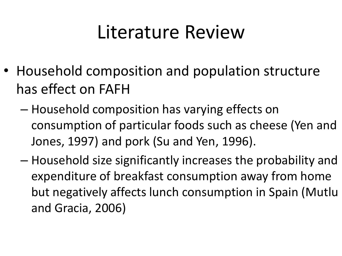#### Literature Review

- Household composition and population structure has effect on FAFH
	- Household composition has varying effects on consumption of particular foods such as cheese (Yen and Jones, 1997) and pork (Su and Yen, 1996).
	- Household size significantly increases the probability and expenditure of breakfast consumption away from home but negatively affects lunch consumption in Spain (Mutlu and Gracia, 2006)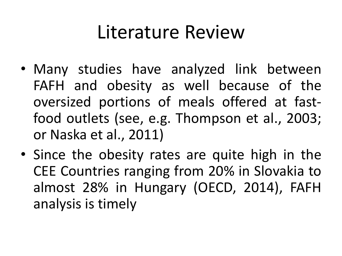#### Literature Review

- Many studies have analyzed link between FAFH and obesity as well because of the oversized portions of meals offered at fastfood outlets (see, e.g. Thompson et al., 2003; or Naska et al., 2011)
- Since the obesity rates are quite high in the CEE Countries ranging from 20% in Slovakia to almost 28% in Hungary (OECD, 2014), FAFH analysis is timely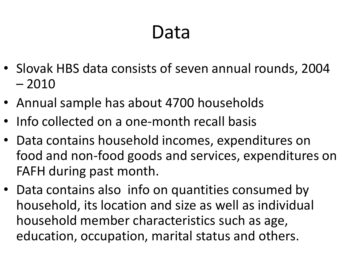#### Data

- Slovak HBS data consists of seven annual rounds, 2004 – 2010
- Annual sample has about 4700 households
- Info collected on a one-month recall basis
- Data contains household incomes, expenditures on food and non-food goods and services, expenditures on FAFH during past month.
- Data contains also info on quantities consumed by household, its location and size as well as individual household member characteristics such as age, education, occupation, marital status and others.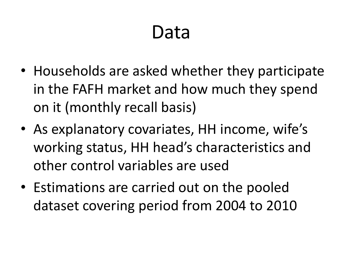#### Data

- Households are asked whether they participate in the FAFH market and how much they spend on it (monthly recall basis)
- As explanatory covariates, HH income, wife's working status, HH head's characteristics and other control variables are used
- Estimations are carried out on the pooled dataset covering period from 2004 to 2010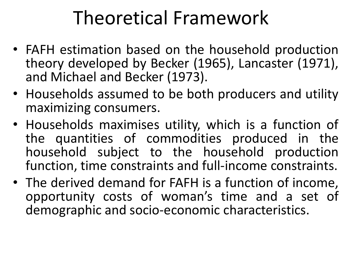#### Theoretical Framework

- FAFH estimation based on the household production theory developed by Becker (1965), Lancaster (1971), and Michael and Becker (1973).
- Households assumed to be both producers and utility maximizing consumers.
- Households maximises utility, which is a function of the quantities of commodities produced in the household subject to the household production function, time constraints and full-income constraints.
- The derived demand for FAFH is a function of income, opportunity costs of woman's time and a set of demographic and socio-economic characteristics.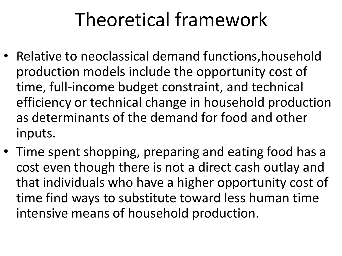#### Theoretical framework

- Relative to neoclassical demand functions,household production models include the opportunity cost of time, full-income budget constraint, and technical efficiency or technical change in household production as determinants of the demand for food and other inputs.
- Time spent shopping, preparing and eating food has a cost even though there is not a direct cash outlay and that individuals who have a higher opportunity cost of time find ways to substitute toward less human time intensive means of household production.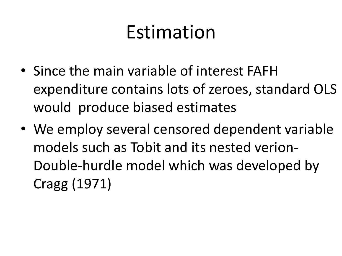#### Estimation

- Since the main variable of interest FAFH expenditure contains lots of zeroes, standard OLS would produce biased estimates
- We employ several censored dependent variable models such as Tobit and its nested verion-Double-hurdle model which was developed by Cragg (1971)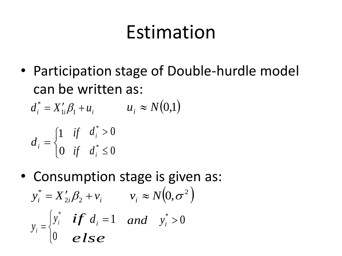#### Estimation

• Participation stage of Double-hurdle model can be written as:

 $d_i^* = X'_{1i} \beta_1 + u_i$   $u_i \approx N(0,1)$ 

$$
d_i = \begin{cases} 1 & \text{if} \quad d_i^* > 0 \\ 0 & \text{if} \quad d_i^* \le 0 \end{cases}
$$

• Consumption stage is given as:  $y_i^* = X_{2i}'\beta_2 + v_i$   $v_i \approx N(0, \sigma^2)$  $\overline{\mathcal{L}}$  $\left\{ \right.$  $\vert$  $=$  $\boldsymbol{0}$ \* *i i y*  $y_i = \begin{cases} y_i & \text{if } i \neq i \\ 0 & \text{else} \end{cases}$ *if*  $d_i = 1$  *and*  $y_i^* > 0$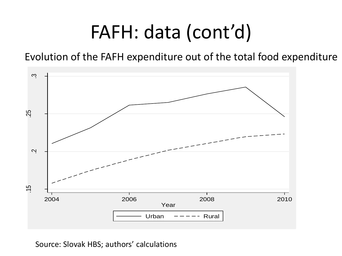#### FAFH: data (cont'd)

Evolution of the FAFH expenditure out of the total food expenditure

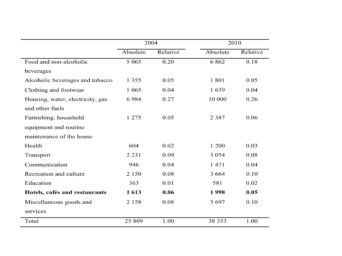|                                  | 2004     |          |          | 2010     |  |
|----------------------------------|----------|----------|----------|----------|--|
|                                  | Absolute | Relative | Absolute | Relative |  |
| Food and non-alcoholic           | 5 0 6 5  | 0.20     | 6 8 6 2  | 0.18     |  |
| beverages                        |          |          |          |          |  |
| Alcoholic beverages and tobacco  | 1 3 5 5  | 0.05     | 1801     | 0.05     |  |
| Clothing and footwear            | 1 0 6 5  | 0.04     | 1639     | 0.04     |  |
| Housing, water, electricity, gas | 6984     | 0.27     | 10 000   | 0.26     |  |
| and other fuels                  |          |          |          |          |  |
| Furnishing, household            | 1 275    | 0.05     | 2 3 8 7  | 0.06     |  |
| equipment and routine            |          |          |          |          |  |
| maintenance of the house         |          |          |          |          |  |
| Health                           | 604      | 0.02     | 1 200    | 0.03     |  |
| Transport                        | 2 2 3 1  | 0.09     | 3 0 5 4  | 0.08     |  |
| Communication                    | 946      | 0.04     | 1 471    | 0.04     |  |
| Recreation and culture           | 2 1 5 0  | 0.08     | 3 6 6 4  | 0.10     |  |
| Education                        | 363      | 0.01     | 581      | 0.02     |  |
| Hotels, cafés and restaurants    | 1613     | 0.06     | 1998     | 0.05     |  |
| Miscellaneous goods and          | 2 1 5 8  | 0.08     | 3697     | 0.10     |  |
| services                         |          |          |          |          |  |
| Total                            | 25 809   | 1.00     | 38 353   | 1.00     |  |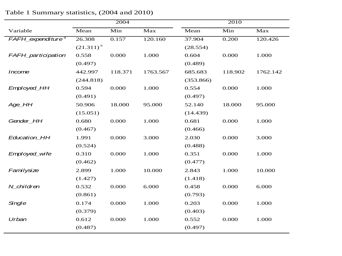|                               |                | 2004    |          |           | 2010    |          |
|-------------------------------|----------------|---------|----------|-----------|---------|----------|
| Variable                      | Mean           | Min     | Max      | Mean      | Min     | Max      |
| FAFH_expenditure <sup>a</sup> | 26.308         | 0.157   | 120.160  | 37.904    | 0.200   | 120.426  |
|                               | $(21.311)^{b}$ |         |          | (28.554)  |         |          |
| FAFH_participation            | 0.558          | 0.000   | 1.000    | 0.604     | 0.000   | 1.000    |
|                               | (0.497)        |         |          | (0.489)   |         |          |
| <b>Income</b>                 | 442.997        | 118.371 | 1763.567 | 685.683   | 118.902 | 1762.142 |
|                               | (244.818)      |         |          | (353.866) |         |          |
| Employed_HH                   | 0.594          | 0.000   | 1.000    | 0.554     | 0.000   | 1.000    |
|                               | (0.491)        |         |          | (0.497)   |         |          |
| Age_HH                        | 50.906         | 18.000  | 95.000   | 52.140    | 18.000  | 95.000   |
|                               | (15.051)       |         |          | (14.439)  |         |          |
| Gender_HH                     | 0.680          | 0.000   | 1.000    | 0.681     | 0.000   | 1.000    |
|                               | (0.467)        |         |          | (0.466)   |         |          |
| <b>Education_HH</b>           | 1.991          | 0.000   | 3.000    | 2.030     | 0.000   | 3.000    |
|                               | (0.524)        |         |          | (0.488)   |         |          |
| Employed_wife                 | 0.310          | 0.000   | 1.000    | 0.351     | 0.000   | 1.000    |
|                               | (0.462)        |         |          | (0.477)   |         |          |
| Familysize                    | 2.899          | 1.000   | 10.000   | 2.843     | 1.000   | 10.000   |
|                               | (1.427)        |         |          | (1.418)   |         |          |
| N_children                    | 0.532          | 0.000   | 6.000    | 0.458     | 0.000   | 6.000    |
|                               | (0.861)        |         |          | (0.793)   |         |          |
| Single                        | 0.174          | 0.000   | 1.000    | 0.203     | 0.000   | 1.000    |
|                               | (0.379)        |         |          | (0.403)   |         |          |
| Urban                         | 0.612          | 0.000   | 1.000    | 0.552     | 0.000   | 1.000    |
|                               | (0.487)        |         |          | (0.497)   |         |          |

Table 1 Summary statistics, (2004 and 2010)

Ξ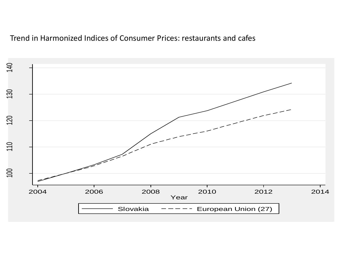#### Trend in Harmonized Indices of Consumer Prices: restaurants and cafes

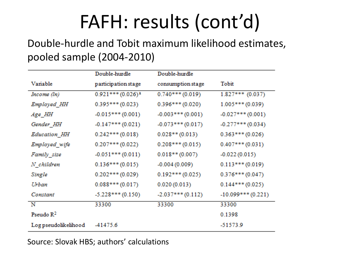# FAFH: results (cont'd)

#### Double-hurdle and Tobit maximum likelihood estimates, pooled sample (2004-2010)

|                       | Double-hurdle                   | Double-hurdle      |                     |
|-----------------------|---------------------------------|--------------------|---------------------|
| Variable              | participation stage             | consumption stage  | Tobit               |
| Income (In)           | $0.921***$ (0.026) <sup>a</sup> | $0.740***(0.019)$  | $1.827***$ (0.037)  |
| Employed_HH           | $0.395***(0.023)$               | $0.396***(0.020)$  | $1.005***(0.039)$   |
| Age_HH                | $-0.015***(0.001)$              | $-0.003***(0.001)$ | $-0.027***(0.001)$  |
| Gender_HH             | $-0.147***(0.021)$              | $-0.073***(0.017)$ | $-0.277***(0.034)$  |
| Education_HH          | $0.242***(0.018)$               | $0.028**$ (0.013)  | $0.363***(0.026)$   |
| Employed_wife         | $0.207***(0.022)$               | $0.208***(0.015)$  | $0.407***(0.031)$   |
| Family_size           | $-0.051***(0.011)$              | $0.018**$ (0.007)  | $-0.022(0.015)$     |
| N_children            | $0.136***(0.015)$               | $-0.004(0.009)$    | $0.113***$ (0.019)  |
| Single                | $0.202***(0.029)$               | $0.192***(0.025)$  | $0.376***(0.047)$   |
| Urban                 | $0.088***(0.017)$               | 0.020(0.013)       | $0.144***(0.025)$   |
| Constant              | $-5.228***(0.150)$              | $-2.037***(0.112)$ | $-10.099***(0.221)$ |
| N                     | 33300                           | 33300              | 33300               |
| Pseudo $\mathbb{R}^2$ |                                 |                    | 0.1398              |
| Log pseudolikelihood  | -41475.6                        |                    | -51573.9            |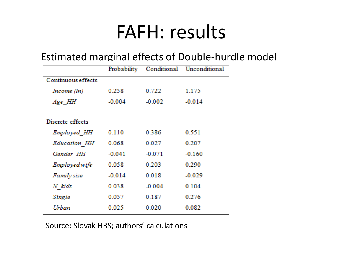#### FAFH: results

#### Estimated marginal effects of Double-hurdle model

|                    | Probability |          | Conditional Unconditional |
|--------------------|-------------|----------|---------------------------|
| Continuous effects |             |          |                           |
| Income (In)        | 0.258       | 0.722    | 1.175                     |
| Age HH             | $-0.004$    | $-0.002$ | $-0.014$                  |
|                    |             |          |                           |
| Discrete effects   |             |          |                           |
| Employed HH        | 0.110       | 0.386    | 0.551                     |
| Education HH       | 0.068       | 0.027    | 0.207                     |
| Gender HH          | $-0.041$    | $-0.071$ | $-0.160$                  |
| Employed wife      | 0.058       | 0.203    | 0.290                     |
| Family size        | $-0.014$    | 0.018    | $-0.029$                  |
| N kids             | 0.038       | $-0.004$ | 0.104                     |
| Single             | 0.057       | 0.187    | 0.276                     |
| Urban              | 0.025       | 0.020    | 0.082                     |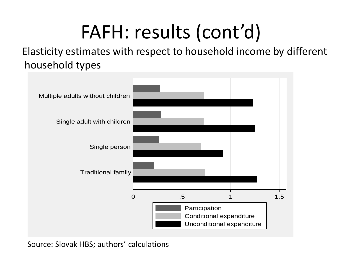### FAFH: results (cont'd)

Elasticity estimates with respect to household income by different household types